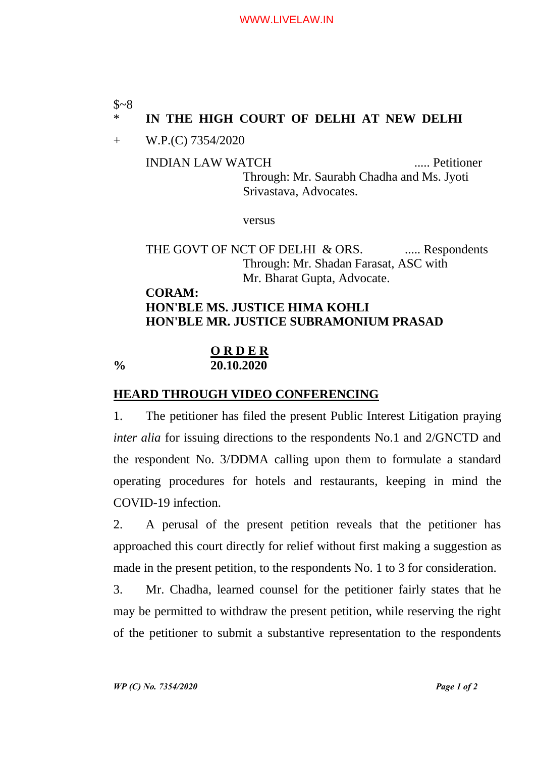## $$~8$$

# \* **IN THE HIGH COURT OF DELHI AT NEW DELHI**

+ W.P.(C) 7354/2020

INDIAN LAW WATCH ..... Petitioner Through: Mr. Saurabh Chadha and Ms. Jyoti Srivastava, Advocates.

versus

THE GOVT OF NCT OF DELHI & ORS. ..... Respondents Through: Mr. Shadan Farasat, ASC with Mr. Bharat Gupta, Advocate.

# **CORAM: HON'BLE MS. JUSTICE HIMA KOHLI HON'BLE MR. JUSTICE SUBRAMONIUM PRASAD**

#### **O R D E R % 20.10.2020**

## **HEARD THROUGH VIDEO CONFERENCING**

1. The petitioner has filed the present Public Interest Litigation praying *inter alia* for issuing directions to the respondents No.1 and 2/GNCTD and the respondent No. 3/DDMA calling upon them to formulate a standard operating procedures for hotels and restaurants, keeping in mind the COVID-19 infection.

2. A perusal of the present petition reveals that the petitioner has approached this court directly for relief without first making a suggestion as made in the present petition, to the respondents No. 1 to 3 for consideration.

3. Mr. Chadha, learned counsel for the petitioner fairly states that he may be permitted to withdraw the present petition, while reserving the right of the petitioner to submit a substantive representation to the respondents